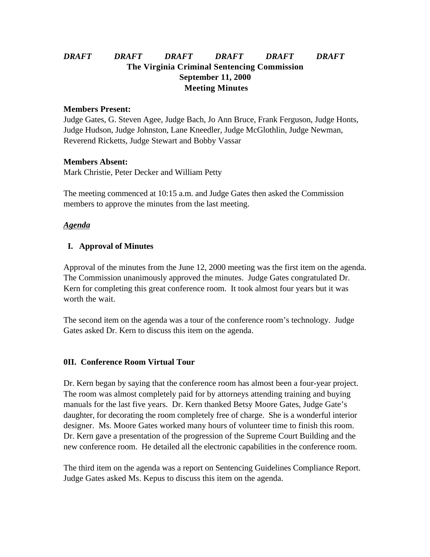# *DRAFT DRAFT DRAFT DRAFT DRAFT DRAFT* **The Virginia Criminal Sentencing Commission September 11, 2000 Meeting Minutes**

#### **Members Present:**

Judge Gates, G. Steven Agee, Judge Bach, Jo Ann Bruce, Frank Ferguson, Judge Honts, Judge Hudson, Judge Johnston, Lane Kneedler, Judge McGlothlin, Judge Newman, Reverend Ricketts, Judge Stewart and Bobby Vassar

### **Members Absent:**

Mark Christie, Peter Decker and William Petty

The meeting commenced at 10:15 a.m. and Judge Gates then asked the Commission members to approve the minutes from the last meeting.

## *Agenda*

## **I. Approval of Minutes**

Approval of the minutes from the June 12, 2000 meeting was the first item on the agenda. The Commission unanimously approved the minutes. Judge Gates congratulated Dr. Kern for completing this great conference room. It took almost four years but it was worth the wait.

The second item on the agenda was a tour of the conference room's technology. Judge Gates asked Dr. Kern to discuss this item on the agenda.

## **0II. Conference Room Virtual Tour**

Dr. Kern began by saying that the conference room has almost been a four-year project. The room was almost completely paid for by attorneys attending training and buying manuals for the last five years. Dr. Kern thanked Betsy Moore Gates, Judge Gate's daughter, for decorating the room completely free of charge. She is a wonderful interior designer. Ms. Moore Gates worked many hours of volunteer time to finish this room. Dr. Kern gave a presentation of the progression of the Supreme Court Building and the new conference room. He detailed all the electronic capabilities in the conference room.

The third item on the agenda was a report on Sentencing Guidelines Compliance Report. Judge Gates asked Ms. Kepus to discuss this item on the agenda.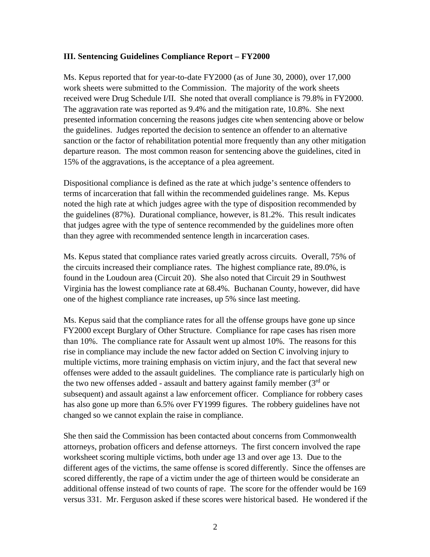### **III. Sentencing Guidelines Compliance Report – FY2000**

Ms. Kepus reported that for year-to-date FY2000 (as of June 30, 2000), over 17,000 work sheets were submitted to the Commission. The majority of the work sheets received were Drug Schedule I/II. She noted that overall compliance is 79.8% in FY2000. The aggravation rate was reported as 9.4% and the mitigation rate, 10.8%. She next presented information concerning the reasons judges cite when sentencing above or below the guidelines. Judges reported the decision to sentence an offender to an alternative sanction or the factor of rehabilitation potential more frequently than any other mitigation departure reason. The most common reason for sentencing above the guidelines, cited in 15% of the aggravations, is the acceptance of a plea agreement.

Dispositional compliance is defined as the rate at which judge's sentence offenders to terms of incarceration that fall within the recommended guidelines range. Ms. Kepus noted the high rate at which judges agree with the type of disposition recommended by the guidelines (87%). Durational compliance, however, is 81.2%. This result indicates that judges agree with the type of sentence recommended by the guidelines more often than they agree with recommended sentence length in incarceration cases.

Ms. Kepus stated that compliance rates varied greatly across circuits. Overall, 75% of the circuits increased their compliance rates. The highest compliance rate, 89.0%, is found in the Loudoun area (Circuit 20). She also noted that Circuit 29 in Southwest Virginia has the lowest compliance rate at 68.4%. Buchanan County, however, did have one of the highest compliance rate increases, up 5% since last meeting.

Ms. Kepus said that the compliance rates for all the offense groups have gone up since FY2000 except Burglary of Other Structure. Compliance for rape cases has risen more than 10%. The compliance rate for Assault went up almost 10%. The reasons for this rise in compliance may include the new factor added on Section C involving injury to multiple victims, more training emphasis on victim injury, and the fact that several new offenses were added to the assault guidelines. The compliance rate is particularly high on the two new offenses added - assault and battery against family member  $(3<sup>rd</sup>$  or subsequent) and assault against a law enforcement officer. Compliance for robbery cases has also gone up more than 6.5% over FY1999 figures. The robbery guidelines have not changed so we cannot explain the raise in compliance.

She then said the Commission has been contacted about concerns from Commonwealth attorneys, probation officers and defense attorneys. The first concern involved the rape worksheet scoring multiple victims, both under age 13 and over age 13. Due to the different ages of the victims, the same offense is scored differently. Since the offenses are scored differently, the rape of a victim under the age of thirteen would be considerate an additional offense instead of two counts of rape. The score for the offender would be 169 versus 331. Mr. Ferguson asked if these scores were historical based. He wondered if the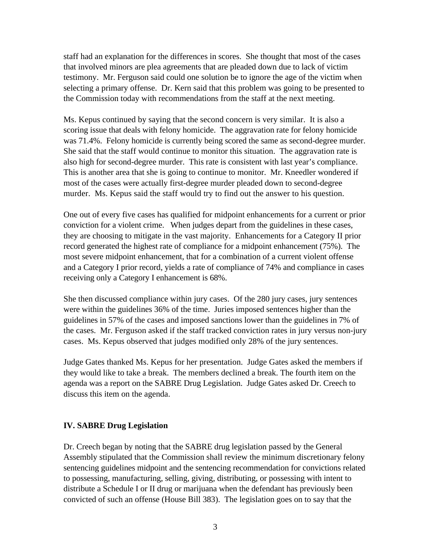staff had an explanation for the differences in scores. She thought that most of the cases that involved minors are plea agreements that are pleaded down due to lack of victim testimony. Mr. Ferguson said could one solution be to ignore the age of the victim when selecting a primary offense. Dr. Kern said that this problem was going to be presented to the Commission today with recommendations from the staff at the next meeting.

Ms. Kepus continued by saying that the second concern is very similar. It is also a scoring issue that deals with felony homicide. The aggravation rate for felony homicide was 71.4%. Felony homicide is currently being scored the same as second-degree murder. She said that the staff would continue to monitor this situation. The aggravation rate is also high for second-degree murder. This rate is consistent with last year's compliance. This is another area that she is going to continue to monitor. Mr. Kneedler wondered if most of the cases were actually first-degree murder pleaded down to second-degree murder. Ms. Kepus said the staff would try to find out the answer to his question.

One out of every five cases has qualified for midpoint enhancements for a current or prior conviction for a violent crime. When judges depart from the guidelines in these cases, they are choosing to mitigate in the vast majority. Enhancements for a Category II prior record generated the highest rate of compliance for a midpoint enhancement (75%). The most severe midpoint enhancement, that for a combination of a current violent offense and a Category I prior record, yields a rate of compliance of 74% and compliance in cases receiving only a Category I enhancement is 68%.

She then discussed compliance within jury cases. Of the 280 jury cases, jury sentences were within the guidelines 36% of the time. Juries imposed sentences higher than the guidelines in 57% of the cases and imposed sanctions lower than the guidelines in 7% of the cases. Mr. Ferguson asked if the staff tracked conviction rates in jury versus non-jury cases. Ms. Kepus observed that judges modified only 28% of the jury sentences.

Judge Gates thanked Ms. Kepus for her presentation. Judge Gates asked the members if they would like to take a break. The members declined a break. The fourth item on the agenda was a report on the SABRE Drug Legislation. Judge Gates asked Dr. Creech to discuss this item on the agenda.

## **IV. SABRE Drug Legislation**

Dr. Creech began by noting that the SABRE drug legislation passed by the General Assembly stipulated that the Commission shall review the minimum discretionary felony sentencing guidelines midpoint and the sentencing recommendation for convictions related to possessing, manufacturing, selling, giving, distributing, or possessing with intent to distribute a Schedule I or II drug or marijuana when the defendant has previously been convicted of such an offense (House Bill 383). The legislation goes on to say that the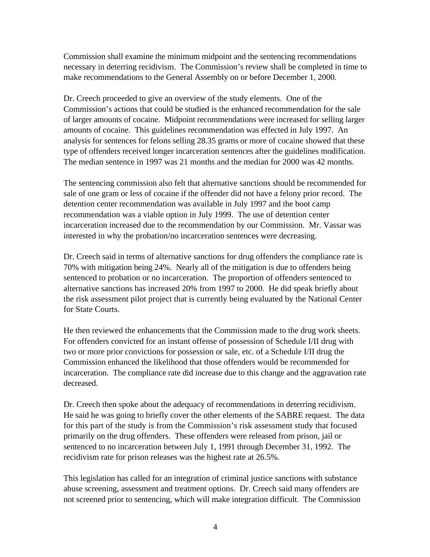Commission shall examine the minimum midpoint and the sentencing recommendations necessary in deterring recidivism. The Commission's review shall be completed in time to make recommendations to the General Assembly on or before December 1, 2000.

Dr. Creech proceeded to give an overview of the study elements. One of the Commission's actions that could be studied is the enhanced recommendation for the sale of larger amounts of cocaine. Midpoint recommendations were increased for selling larger amounts of cocaine. This guidelines recommendation was effected in July 1997. An analysis for sentences for felons selling 28.35 grams or more of cocaine showed that these type of offenders received longer incarceration sentences after the guidelines modification. The median sentence in 1997 was 21 months and the median for 2000 was 42 months.

The sentencing commission also felt that alternative sanctions should be recommended for sale of one gram or less of cocaine if the offender did not have a felony prior record. The detention center recommendation was available in July 1997 and the boot camp recommendation was a viable option in July 1999. The use of detention center incarceration increased due to the recommendation by our Commission. Mr. Vassar was interested in why the probation/no incarceration sentences were decreasing.

Dr. Creech said in terms of alternative sanctions for drug offenders the compliance rate is 70% with mitigation being 24%. Nearly all of the mitigation is due to offenders being sentenced to probation or no incarceration. The proportion of offenders sentenced to alternative sanctions has increased 20% from 1997 to 2000. He did speak briefly about the risk assessment pilot project that is currently being evaluated by the National Center for State Courts.

He then reviewed the enhancements that the Commission made to the drug work sheets. For offenders convicted for an instant offense of possession of Schedule I/II drug with two or more prior convictions for possession or sale, etc. of a Schedule I/II drug the Commission enhanced the likelihood that those offenders would be recommended for incarceration. The compliance rate did increase due to this change and the aggravation rate decreased.

Dr. Creech then spoke about the adequacy of recommendations in deterring recidivism. He said he was going to briefly cover the other elements of the SABRE request. The data for this part of the study is from the Commission's risk assessment study that focused primarily on the drug offenders. These offenders were released from prison, jail or sentenced to no incarceration between July 1, 1991 through December 31, 1992. The recidivism rate for prison releases was the highest rate at 26.5%.

This legislation has called for an integration of criminal justice sanctions with substance abuse screening, assessment and treatment options. Dr. Creech said many offenders are not screened prior to sentencing, which will make integration difficult. The Commission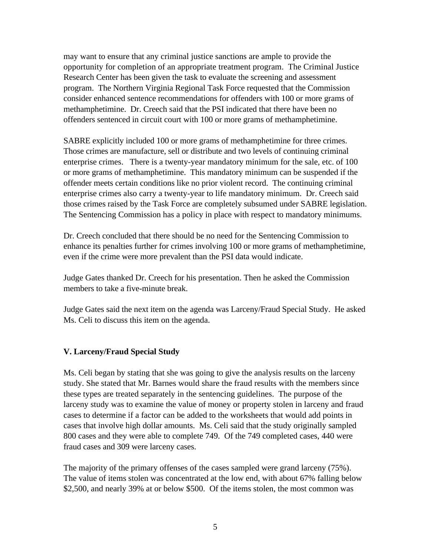may want to ensure that any criminal justice sanctions are ample to provide the opportunity for completion of an appropriate treatment program. The Criminal Justice Research Center has been given the task to evaluate the screening and assessment program. The Northern Virginia Regional Task Force requested that the Commission consider enhanced sentence recommendations for offenders with 100 or more grams of methamphetimine. Dr. Creech said that the PSI indicated that there have been no offenders sentenced in circuit court with 100 or more grams of methamphetimine.

SABRE explicitly included 100 or more grams of methamphetimine for three crimes. Those crimes are manufacture, sell or distribute and two levels of continuing criminal enterprise crimes. There is a twenty-year mandatory minimum for the sale, etc. of 100 or more grams of methamphetimine. This mandatory minimum can be suspended if the offender meets certain conditions like no prior violent record. The continuing criminal enterprise crimes also carry a twenty-year to life mandatory minimum. Dr. Creech said those crimes raised by the Task Force are completely subsumed under SABRE legislation. The Sentencing Commission has a policy in place with respect to mandatory minimums.

Dr. Creech concluded that there should be no need for the Sentencing Commission to enhance its penalties further for crimes involving 100 or more grams of methamphetimine, even if the crime were more prevalent than the PSI data would indicate.

Judge Gates thanked Dr. Creech for his presentation. Then he asked the Commission members to take a five-minute break.

Judge Gates said the next item on the agenda was Larceny/Fraud Special Study. He asked Ms. Celi to discuss this item on the agenda.

## **V. Larceny/Fraud Special Study**

Ms. Celi began by stating that she was going to give the analysis results on the larceny study. She stated that Mr. Barnes would share the fraud results with the members since these types are treated separately in the sentencing guidelines. The purpose of the larceny study was to examine the value of money or property stolen in larceny and fraud cases to determine if a factor can be added to the worksheets that would add points in cases that involve high dollar amounts. Ms. Celi said that the study originally sampled 800 cases and they were able to complete 749. Of the 749 completed cases, 440 were fraud cases and 309 were larceny cases.

The majority of the primary offenses of the cases sampled were grand larceny (75%). The value of items stolen was concentrated at the low end, with about 67% falling below \$2,500, and nearly 39% at or below \$500. Of the items stolen, the most common was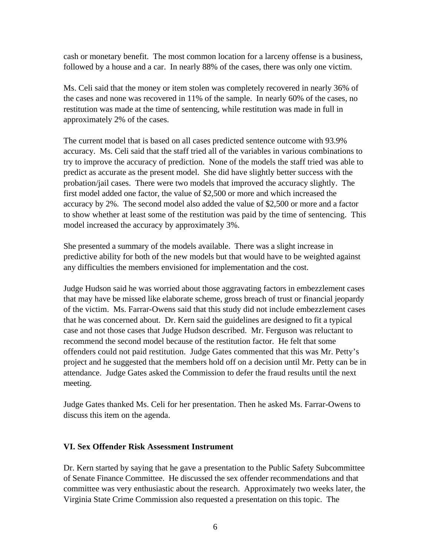cash or monetary benefit. The most common location for a larceny offense is a business, followed by a house and a car. In nearly 88% of the cases, there was only one victim.

Ms. Celi said that the money or item stolen was completely recovered in nearly 36% of the cases and none was recovered in 11% of the sample. In nearly 60% of the cases, no restitution was made at the time of sentencing, while restitution was made in full in approximately 2% of the cases.

The current model that is based on all cases predicted sentence outcome with 93.9% accuracy. Ms. Celi said that the staff tried all of the variables in various combinations to try to improve the accuracy of prediction. None of the models the staff tried was able to predict as accurate as the present model. She did have slightly better success with the probation/jail cases. There were two models that improved the accuracy slightly. The first model added one factor, the value of \$2,500 or more and which increased the accuracy by 2%. The second model also added the value of \$2,500 or more and a factor to show whether at least some of the restitution was paid by the time of sentencing. This model increased the accuracy by approximately 3%.

She presented a summary of the models available. There was a slight increase in predictive ability for both of the new models but that would have to be weighted against any difficulties the members envisioned for implementation and the cost.

Judge Hudson said he was worried about those aggravating factors in embezzlement cases that may have be missed like elaborate scheme, gross breach of trust or financial jeopardy of the victim. Ms. Farrar-Owens said that this study did not include embezzlement cases that he was concerned about. Dr. Kern said the guidelines are designed to fit a typical case and not those cases that Judge Hudson described. Mr. Ferguson was reluctant to recommend the second model because of the restitution factor. He felt that some offenders could not paid restitution. Judge Gates commented that this was Mr. Petty's project and he suggested that the members hold off on a decision until Mr. Petty can be in attendance. Judge Gates asked the Commission to defer the fraud results until the next meeting.

Judge Gates thanked Ms. Celi for her presentation. Then he asked Ms. Farrar-Owens to discuss this item on the agenda.

#### **VI. Sex Offender Risk Assessment Instrument**

Dr. Kern started by saying that he gave a presentation to the Public Safety Subcommittee of Senate Finance Committee. He discussed the sex offender recommendations and that committee was very enthusiastic about the research. Approximately two weeks later, the Virginia State Crime Commission also requested a presentation on this topic. The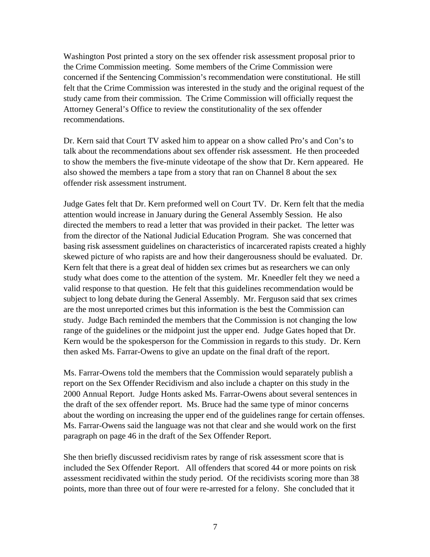Washington Post printed a story on the sex offender risk assessment proposal prior to the Crime Commission meeting. Some members of the Crime Commission were concerned if the Sentencing Commission's recommendation were constitutional. He still felt that the Crime Commission was interested in the study and the original request of the study came from their commission. The Crime Commission will officially request the Attorney General's Office to review the constitutionality of the sex offender recommendations.

Dr. Kern said that Court TV asked him to appear on a show called Pro's and Con's to talk about the recommendations about sex offender risk assessment. He then proceeded to show the members the five-minute videotape of the show that Dr. Kern appeared. He also showed the members a tape from a story that ran on Channel 8 about the sex offender risk assessment instrument.

Judge Gates felt that Dr. Kern preformed well on Court TV. Dr. Kern felt that the media attention would increase in January during the General Assembly Session. He also directed the members to read a letter that was provided in their packet. The letter was from the director of the National Judicial Education Program. She was concerned that basing risk assessment guidelines on characteristics of incarcerated rapists created a highly skewed picture of who rapists are and how their dangerousness should be evaluated. Dr. Kern felt that there is a great deal of hidden sex crimes but as researchers we can only study what does come to the attention of the system. Mr. Kneedler felt they we need a valid response to that question. He felt that this guidelines recommendation would be subject to long debate during the General Assembly. Mr. Ferguson said that sex crimes are the most unreported crimes but this information is the best the Commission can study. Judge Bach reminded the members that the Commission is not changing the low range of the guidelines or the midpoint just the upper end. Judge Gates hoped that Dr. Kern would be the spokesperson for the Commission in regards to this study. Dr. Kern then asked Ms. Farrar-Owens to give an update on the final draft of the report.

Ms. Farrar-Owens told the members that the Commission would separately publish a report on the Sex Offender Recidivism and also include a chapter on this study in the 2000 Annual Report. Judge Honts asked Ms. Farrar-Owens about several sentences in the draft of the sex offender report. Ms. Bruce had the same type of minor concerns about the wording on increasing the upper end of the guidelines range for certain offenses. Ms. Farrar-Owens said the language was not that clear and she would work on the first paragraph on page 46 in the draft of the Sex Offender Report.

She then briefly discussed recidivism rates by range of risk assessment score that is included the Sex Offender Report. All offenders that scored 44 or more points on risk assessment recidivated within the study period. Of the recidivists scoring more than 38 points, more than three out of four were re-arrested for a felony. She concluded that it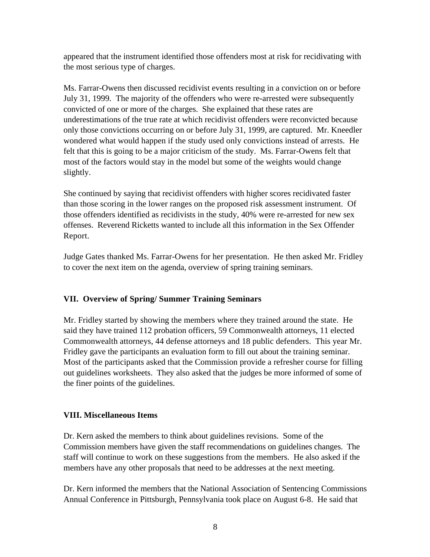appeared that the instrument identified those offenders most at risk for recidivating with the most serious type of charges.

Ms. Farrar-Owens then discussed recidivist events resulting in a conviction on or before July 31, 1999. The majority of the offenders who were re-arrested were subsequently convicted of one or more of the charges. She explained that these rates are underestimations of the true rate at which recidivist offenders were reconvicted because only those convictions occurring on or before July 31, 1999, are captured. Mr. Kneedler wondered what would happen if the study used only convictions instead of arrests. He felt that this is going to be a major criticism of the study. Ms. Farrar-Owens felt that most of the factors would stay in the model but some of the weights would change slightly.

She continued by saying that recidivist offenders with higher scores recidivated faster than those scoring in the lower ranges on the proposed risk assessment instrument. Of those offenders identified as recidivists in the study, 40% were re-arrested for new sex offenses. Reverend Ricketts wanted to include all this information in the Sex Offender Report.

Judge Gates thanked Ms. Farrar-Owens for her presentation. He then asked Mr. Fridley to cover the next item on the agenda, overview of spring training seminars.

# **VII. Overview of Spring/ Summer Training Seminars**

Mr. Fridley started by showing the members where they trained around the state. He said they have trained 112 probation officers, 59 Commonwealth attorneys, 11 elected Commonwealth attorneys, 44 defense attorneys and 18 public defenders. This year Mr. Fridley gave the participants an evaluation form to fill out about the training seminar. Most of the participants asked that the Commission provide a refresher course for filling out guidelines worksheets. They also asked that the judges be more informed of some of the finer points of the guidelines.

## **VIII. Miscellaneous Items**

Dr. Kern asked the members to think about guidelines revisions. Some of the Commission members have given the staff recommendations on guidelines changes. The staff will continue to work on these suggestions from the members. He also asked if the members have any other proposals that need to be addresses at the next meeting.

Dr. Kern informed the members that the National Association of Sentencing Commissions Annual Conference in Pittsburgh, Pennsylvania took place on August 6-8. He said that